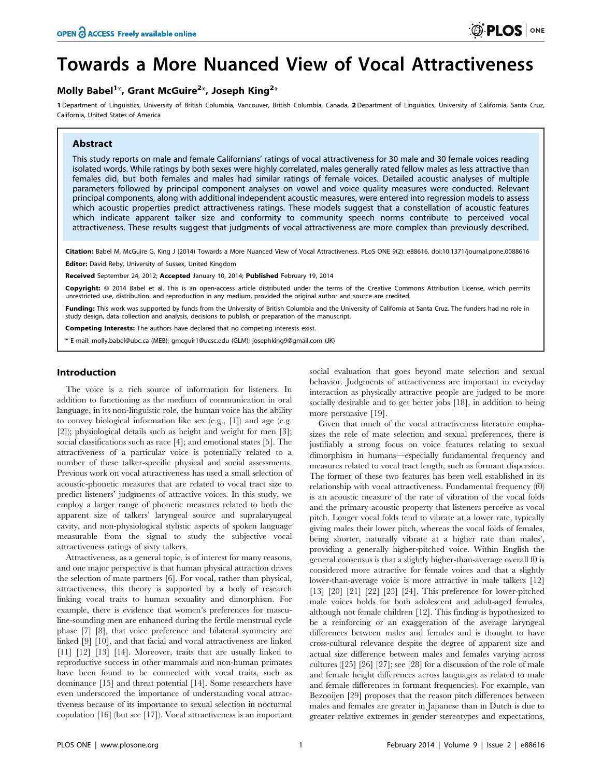# Towards a More Nuanced View of Vocal Attractiveness

## Molly Babel<sup>1</sup>\*, Grant McGuire<sup>2</sup>\*, Joseph King<sup>2</sup>\*

1 Department of Linguistics, University of British Columbia, Vancouver, British Columbia, Canada, 2 Department of Linguistics, University of California, Santa Cruz, California, United States of America

## Abstract

This study reports on male and female Californians' ratings of vocal attractiveness for 30 male and 30 female voices reading isolated words. While ratings by both sexes were highly correlated, males generally rated fellow males as less attractive than females did, but both females and males had similar ratings of female voices. Detailed acoustic analyses of multiple parameters followed by principal component analyses on vowel and voice quality measures were conducted. Relevant principal components, along with additional independent acoustic measures, were entered into regression models to assess which acoustic properties predict attractiveness ratings. These models suggest that a constellation of acoustic features which indicate apparent talker size and conformity to community speech norms contribute to perceived vocal attractiveness. These results suggest that judgments of vocal attractiveness are more complex than previously described.

Citation: Babel M, McGuire G, King J (2014) Towards a More Nuanced View of Vocal Attractiveness. PLoS ONE 9(2): e88616. doi:10.1371/journal.pone.0088616

Editor: David Reby, University of Sussex, United Kingdom

Received September 24, 2012; Accepted January 10, 2014; Published February 19, 2014

Copyright: © 2014 Babel et al. This is an open-access article distributed under the terms of the [Creative Commons Attribution License,](http://creativecommons.org/licenses/by/4.0/) which permits unrestricted use, distribution, and reproduction in any medium, provided the original author and source are credited.

Funding: This work was supported by funds from the University of British Columbia and the University of California at Santa Cruz. The funders had no role in study design, data collection and analysis, decisions to publish, or preparation of the manuscript.

Competing Interests: The authors have declared that no competing interests exist.

\* E-mail: molly.babel@ubc.ca (MEB); gmcguir1@ucsc.edu (GLM); josephking9@gmail.com (JK)

## Introduction

The voice is a rich source of information for listeners. In addition to functioning as the medium of communication in oral language, in its non-linguistic role, the human voice has the ability to convey biological information like sex (e.g., [1]) and age (e.g. [2]); physiological details such as height and weight for men [3]; social classifications such as race [4]; and emotional states [5]. The attractiveness of a particular voice is potentially related to a number of these talker-specific physical and social assessments. Previous work on vocal attractiveness has used a small selection of acoustic-phonetic measures that are related to vocal tract size to predict listeners' judgments of attractive voices. In this study, we employ a larger range of phonetic measures related to both the apparent size of talkers' laryngeal source and supralaryngeal cavity, and non-physiological stylistic aspects of spoken language measurable from the signal to study the subjective vocal attractiveness ratings of sixty talkers.

Attractiveness, as a general topic, is of interest for many reasons, and one major perspective is that human physical attraction drives the selection of mate partners [6]. For vocal, rather than physical, attractiveness, this theory is supported by a body of research linking vocal traits to human sexuality and dimorphism. For example, there is evidence that women's preferences for masculine-sounding men are enhanced during the fertile menstrual cycle phase [7] [8], that voice preference and bilateral symmetry are linked [9] [10], and that facial and vocal attractiveness are linked [11] [12] [13] [14]. Moreover, traits that are usually linked to reproductive success in other mammals and non-human primates have been found to be connected with vocal traits, such as dominance [15] and threat potential [14]. Some researchers have even underscored the importance of understanding vocal attractiveness because of its importance to sexual selection in nocturnal copulation [16] (but see [17]). Vocal attractiveness is an important social evaluation that goes beyond mate selection and sexual behavior. Judgments of attractiveness are important in everyday interaction as physically attractive people are judged to be more socially desirable and to get better jobs [18], in addition to being more persuasive [19].

Given that much of the vocal attractiveness literature emphasizes the role of mate selection and sexual preferences, there is justifiably a strong focus on voice features relating to sexual dimorphism in humans—especially fundamental frequency and measures related to vocal tract length, such as formant dispersion. The former of these two features has been well established in its relationship with vocal attractiveness. Fundamental frequency (f0) is an acoustic measure of the rate of vibration of the vocal folds and the primary acoustic property that listeners perceive as vocal pitch. Longer vocal folds tend to vibrate at a lower rate, typically giving males their lower pitch, whereas the vocal folds of females, being shorter, naturally vibrate at a higher rate than males', providing a generally higher-pitched voice. Within English the general consensus is that a slightly higher-than-average overall f0 is considered more attractive for female voices and that a slightly lower-than-average voice is more attractive in male talkers [12] [13] [20] [21] [22] [23] [24]. This preference for lower-pitched male voices holds for both adolescent and adult-aged females, although not female children [12]. This finding is hypothesized to be a reinforcing or an exaggeration of the average laryngeal differences between males and females and is thought to have cross-cultural relevance despite the degree of apparent size and actual size difference between males and females varying across cultures ([25] [26] [27]; see [28] for a discussion of the role of male and female height differences across languages as related to male and female differences in formant frequencies). For example, van Bezooijen [29] proposes that the reason pitch differences between males and females are greater in Japanese than in Dutch is due to greater relative extremes in gender stereotypes and expectations,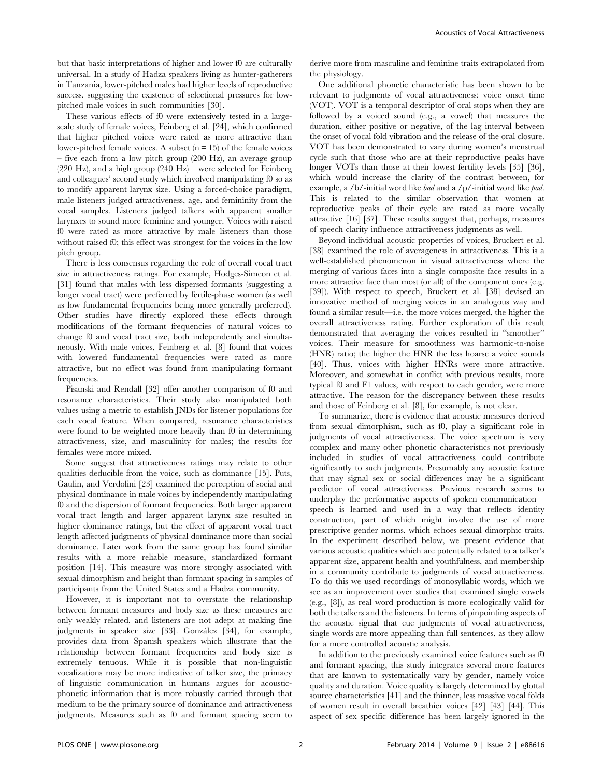but that basic interpretations of higher and lower f0 are culturally universal. In a study of Hadza speakers living as hunter-gatherers in Tanzania, lower-pitched males had higher levels of reproductive success, suggesting the existence of selectional pressures for lowpitched male voices in such communities [30].

These various effects of f0 were extensively tested in a largescale study of female voices, Feinberg et al. [24], which confirmed that higher pitched voices were rated as more attractive than lower-pitched female voices. A subset  $(n = 15)$  of the female voices – five each from a low pitch group (200 Hz), an average group (220 Hz), and a high group (240 Hz) – were selected for Feinberg and colleagues' second study which involved manipulating f0 so as to modify apparent larynx size. Using a forced-choice paradigm, male listeners judged attractiveness, age, and femininity from the vocal samples. Listeners judged talkers with apparent smaller larynxes to sound more feminine and younger. Voices with raised f0 were rated as more attractive by male listeners than those without raised f0; this effect was strongest for the voices in the low pitch group.

There is less consensus regarding the role of overall vocal tract size in attractiveness ratings. For example, Hodges-Simeon et al. [31] found that males with less dispersed formants (suggesting a longer vocal tract) were preferred by fertile-phase women (as well as low fundamental frequencies being more generally preferred). Other studies have directly explored these effects through modifications of the formant frequencies of natural voices to change f0 and vocal tract size, both independently and simultaneously. With male voices, Feinberg et al. [8] found that voices with lowered fundamental frequencies were rated as more attractive, but no effect was found from manipulating formant frequencies.

Pisanski and Rendall [32] offer another comparison of f0 and resonance characteristics. Their study also manipulated both values using a metric to establish JNDs for listener populations for each vocal feature. When compared, resonance characteristics were found to be weighted more heavily than f0 in determining attractiveness, size, and masculinity for males; the results for females were more mixed.

Some suggest that attractiveness ratings may relate to other qualities deducible from the voice, such as dominance [15]. Puts, Gaulin, and Verdolini [23] examined the perception of social and physical dominance in male voices by independently manipulating f0 and the dispersion of formant frequencies. Both larger apparent vocal tract length and larger apparent larynx size resulted in higher dominance ratings, but the effect of apparent vocal tract length affected judgments of physical dominance more than social dominance. Later work from the same group has found similar results with a more reliable measure, standardized formant position [14]. This measure was more strongly associated with sexual dimorphism and height than formant spacing in samples of participants from the United States and a Hadza community.

However, it is important not to overstate the relationship between formant measures and body size as these measures are only weakly related, and listeners are not adept at making fine judgments in speaker size [33]. González [34], for example, provides data from Spanish speakers which illustrate that the relationship between formant frequencies and body size is extremely tenuous. While it is possible that non-linguistic vocalizations may be more indicative of talker size, the primacy of linguistic communication in humans argues for acousticphonetic information that is more robustly carried through that medium to be the primary source of dominance and attractiveness judgments. Measures such as f0 and formant spacing seem to derive more from masculine and feminine traits extrapolated from the physiology.

One additional phonetic characteristic has been shown to be relevant to judgments of vocal attractiveness: voice onset time (VOT). VOT is a temporal descriptor of oral stops when they are followed by a voiced sound (e.g., a vowel) that measures the duration, either positive or negative, of the lag interval between the onset of vocal fold vibration and the release of the oral closure. VOT has been demonstrated to vary during women's menstrual cycle such that those who are at their reproductive peaks have longer VOTs than those at their lowest fertility levels [35] [36], which would increase the clarity of the contrast between, for example, a /b/-initial word like *bad* and a /p/-initial word like *pad*. This is related to the similar observation that women at reproductive peaks of their cycle are rated as more vocally attractive [16] [37]. These results suggest that, perhaps, measures of speech clarity influence attractiveness judgments as well.

Beyond individual acoustic properties of voices, Bruckert et al. [38] examined the role of averageness in attractiveness. This is a well-established phenomenon in visual attractiveness where the merging of various faces into a single composite face results in a more attractive face than most (or all) of the component ones (e.g. [39]). With respect to speech, Bruckert et al. [38] devised an innovative method of merging voices in an analogous way and found a similar result—i.e. the more voices merged, the higher the overall attractiveness rating. Further exploration of this result demonstrated that averaging the voices resulted in ''smoother'' voices. Their measure for smoothness was harmonic-to-noise (HNR) ratio; the higher the HNR the less hoarse a voice sounds [40]. Thus, voices with higher HNRs were more attractive. Moreover, and somewhat in conflict with previous results, more typical f0 and F1 values, with respect to each gender, were more attractive. The reason for the discrepancy between these results and those of Feinberg et al. [8], for example, is not clear.

To summarize, there is evidence that acoustic measures derived from sexual dimorphism, such as f0, play a significant role in judgments of vocal attractiveness. The voice spectrum is very complex and many other phonetic characteristics not previously included in studies of vocal attractiveness could contribute significantly to such judgments. Presumably any acoustic feature that may signal sex or social differences may be a significant predictor of vocal attractiveness. Previous research seems to underplay the performative aspects of spoken communication – speech is learned and used in a way that reflects identity construction, part of which might involve the use of more prescriptive gender norms, which echoes sexual dimorphic traits. In the experiment described below, we present evidence that various acoustic qualities which are potentially related to a talker's apparent size, apparent health and youthfulness, and membership in a community contribute to judgments of vocal attractiveness. To do this we used recordings of monosyllabic words, which we see as an improvement over studies that examined single vowels (e.g., [8]), as real word production is more ecologically valid for both the talkers and the listeners. In terms of pinpointing aspects of the acoustic signal that cue judgments of vocal attractiveness, single words are more appealing than full sentences, as they allow for a more controlled acoustic analysis.

In addition to the previously examined voice features such as f0 and formant spacing, this study integrates several more features that are known to systematically vary by gender, namely voice quality and duration. Voice quality is largely determined by glottal source characteristics [41] and the thinner, less massive vocal folds of women result in overall breathier voices [42] [43] [44]. This aspect of sex specific difference has been largely ignored in the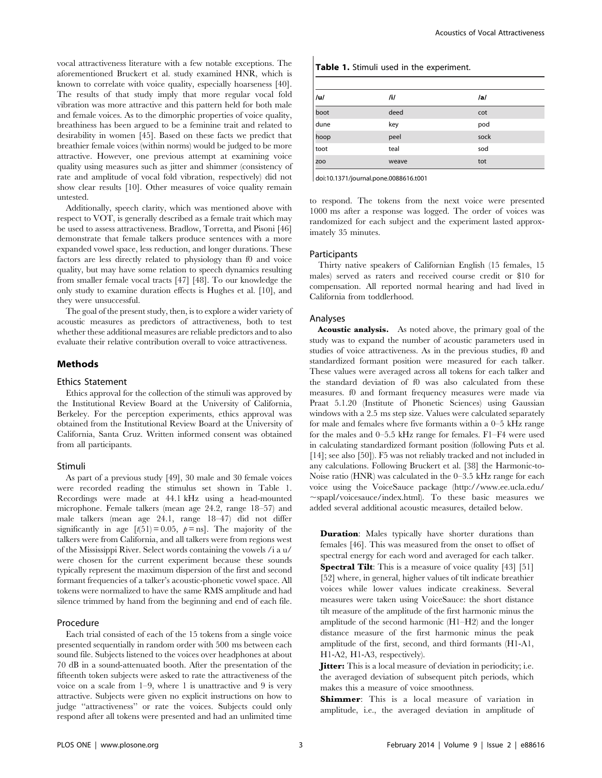vocal attractiveness literature with a few notable exceptions. The aforementioned Bruckert et al. study examined HNR, which is known to correlate with voice quality, especially hoarseness [40]. The results of that study imply that more regular vocal fold vibration was more attractive and this pattern held for both male and female voices. As to the dimorphic properties of voice quality, breathiness has been argued to be a feminine trait and related to desirability in women [45]. Based on these facts we predict that breathier female voices (within norms) would be judged to be more attractive. However, one previous attempt at examining voice quality using measures such as jitter and shimmer (consistency of rate and amplitude of vocal fold vibration, respectively) did not show clear results [10]. Other measures of voice quality remain untested.

Additionally, speech clarity, which was mentioned above with respect to VOT, is generally described as a female trait which may be used to assess attractiveness. Bradlow, Torretta, and Pisoni [46] demonstrate that female talkers produce sentences with a more expanded vowel space, less reduction, and longer durations. These factors are less directly related to physiology than f0 and voice quality, but may have some relation to speech dynamics resulting from smaller female vocal tracts [47] [48]. To our knowledge the only study to examine duration effects is Hughes et al. [10], and they were unsuccessful.

The goal of the present study, then, is to explore a wider variety of acoustic measures as predictors of attractiveness, both to test whether these additional measures are reliable predictors and to also evaluate their relative contribution overall to voice attractiveness.

## Methods

## Ethics Statement

Ethics approval for the collection of the stimuli was approved by the Institutional Review Board at the University of California, Berkeley. For the perception experiments, ethics approval was obtained from the Institutional Review Board at the University of California, Santa Cruz. Written informed consent was obtained from all participants.

#### Stimuli

As part of a previous study [49], 30 male and 30 female voices were recorded reading the stimulus set shown in Table 1. Recordings were made at 44.1 kHz using a head-mounted microphone. Female talkers (mean age 24.2, range 18–57) and male talkers (mean age 24.1, range 18–47) did not differ significantly in age  $[t(51) = 0.05, p = ns]$ . The majority of the talkers were from California, and all talkers were from regions west of the Mississippi River. Select words containing the vowels /i a u/ were chosen for the current experiment because these sounds typically represent the maximum dispersion of the first and second formant frequencies of a talker's acoustic-phonetic vowel space. All tokens were normalized to have the same RMS amplitude and had silence trimmed by hand from the beginning and end of each file.

## Procedure

Each trial consisted of each of the 15 tokens from a single voice presented sequentially in random order with 500 ms between each sound file. Subjects listened to the voices over headphones at about 70 dB in a sound-attenuated booth. After the presentation of the fifteenth token subjects were asked to rate the attractiveness of the voice on a scale from  $1-9$ , where 1 is unattractive and 9 is very attractive. Subjects were given no explicit instructions on how to judge ''attractiveness'' or rate the voices. Subjects could only respond after all tokens were presented and had an unlimited time

| Table 1. Stimuli used in the experiment. |       |      |  |  |  |  |  |
|------------------------------------------|-------|------|--|--|--|--|--|
| ul                                       | /i/   | /a/  |  |  |  |  |  |
| boot                                     | deed  | cot  |  |  |  |  |  |
| dune                                     | key   | pod  |  |  |  |  |  |
| hoop                                     | peel  | sock |  |  |  |  |  |
| toot                                     | teal  | sod  |  |  |  |  |  |
| ZO <sub>O</sub>                          | weave | tot  |  |  |  |  |  |

doi:10.1371/journal.pone.0088616.t001

to respond. The tokens from the next voice were presented 1000 ms after a response was logged. The order of voices was randomized for each subject and the experiment lasted approximately 35 minutes.

#### Participants

Thirty native speakers of Californian English (15 females, 15 males) served as raters and received course credit or \$10 for compensation. All reported normal hearing and had lived in California from toddlerhood.

#### Analyses

Acoustic analysis. As noted above, the primary goal of the study was to expand the number of acoustic parameters used in studies of voice attractiveness. As in the previous studies, f0 and standardized formant position were measured for each talker. These values were averaged across all tokens for each talker and the standard deviation of f0 was also calculated from these measures. f0 and formant frequency measures were made via Praat 5.1.20 (Institute of Phonetic Sciences) using Gaussian windows with a 2.5 ms step size. Values were calculated separately for male and females where five formants within a 0–5 kHz range for the males and 0–5.5 kHz range for females. F1–F4 were used in calculating standardized formant position (following Puts et al. [14]; see also [50]). F5 was not reliably tracked and not included in any calculations. Following Bruckert et al. [38] the Harmonic-to-Noise ratio (HNR) was calculated in the 0–3.5 kHz range for each voice using the VoiceSauce package (http://www.ee.ucla.edu/  $\sim$ spapl/voicesauce/index.html). To these basic measures we added several additional acoustic measures, detailed below.

**Duration:** Males typically have shorter durations than females [46]. This was measured from the onset to offset of spectral energy for each word and averaged for each talker. **Spectral Tilt**: This is a measure of voice quality [43] [51] [52] where, in general, higher values of tilt indicate breathier voices while lower values indicate creakiness. Several measures were taken using VoiceSauce: the short distance tilt measure of the amplitude of the first harmonic minus the amplitude of the second harmonic (H1–H2) and the longer distance measure of the first harmonic minus the peak amplitude of the first, second, and third formants (H1-A1, H1-A2, H1-A3, respectively).

**Jitter:** This is a local measure of deviation in periodicity; i.e. the averaged deviation of subsequent pitch periods, which makes this a measure of voice smoothness.

**Shimmer**: This is a local measure of variation in amplitude, i.e., the averaged deviation in amplitude of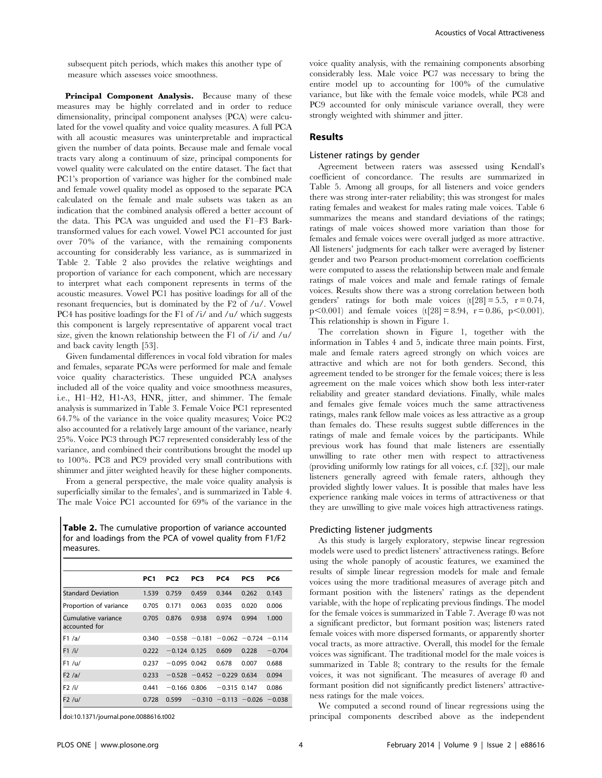subsequent pitch periods, which makes this another type of measure which assesses voice smoothness.

Principal Component Analysis. Because many of these measures may be highly correlated and in order to reduce dimensionality, principal component analyses (PCA) were calculated for the vowel quality and voice quality measures. A full PCA with all acoustic measures was uninterpretable and impractical given the number of data points. Because male and female vocal tracts vary along a continuum of size, principal components for vowel quality were calculated on the entire dataset. The fact that PC1's proportion of variance was higher for the combined male and female vowel quality model as opposed to the separate PCA calculated on the female and male subsets was taken as an indication that the combined analysis offered a better account of the data. This PCA was unguided and used the F1–F3 Barktransformed values for each vowel. Vowel PC1 accounted for just over 70% of the variance, with the remaining components accounting for considerably less variance, as is summarized in Table 2. Table 2 also provides the relative weightings and proportion of variance for each component, which are necessary to interpret what each component represents in terms of the acoustic measures. Vowel PC1 has positive loadings for all of the resonant frequencies, but is dominated by the F2 of /u/. Vowel PC4 has positive loadings for the F1 of  $/i$  and  $/u$  which suggests this component is largely representative of apparent vocal tract size, given the known relationship between the F1 of /i/ and /u/ and back cavity length [53].

Given fundamental differences in vocal fold vibration for males and females, separate PCAs were performed for male and female voice quality characteristics. These unguided PCA analyses included all of the voice quality and voice smoothness measures, i.e., H1–H2, H1-A3, HNR, jitter, and shimmer. The female analysis is summarized in Table 3. Female Voice PC1 represented 64.7% of the variance in the voice quality measures; Voice PC2 also accounted for a relatively large amount of the variance, nearly 25%. Voice PC3 through PC7 represented considerably less of the variance, and combined their contributions brought the model up to 100%. PC8 and PC9 provided very small contributions with shimmer and jitter weighted heavily for these higher components.

From a general perspective, the male voice quality analysis is superficially similar to the females', and is summarized in Table 4. The male Voice PC1 accounted for 69% of the variance in the

Table 2. The cumulative proportion of variance accounted for and loadings from the PCA of vowel quality from F1/F2 measures.

|                                      | PC <sub>1</sub> | PC <sub>2</sub> | PC3                            | PC4            | PC5                                          | PC6      |
|--------------------------------------|-----------------|-----------------|--------------------------------|----------------|----------------------------------------------|----------|
| <b>Standard Deviation</b>            | 1.539           | 0.759           | 0.459                          | 0.344          | 0.262                                        | 0.143    |
| Proportion of variance               | 0.705           | 0.171           | 0.063                          | 0.035          | 0.020                                        | 0.006    |
| Cumulative variance<br>accounted for | 0.705           | 0.876           | 0.938                          | 0.974          | 0.994                                        | 1.000    |
| F1/a/                                | 0.340           |                 |                                |                | $-0.558$ $-0.181$ $-0.062$ $-0.724$ $-0.114$ |          |
| F1 / i/                              | 0.222           | $-0.124$ 0.125  |                                | 0.609          | 0.228                                        | $-0.704$ |
| F1 / u/                              | 0.237           | $-0.095$ 0.042  |                                | 0.678          | 0.007                                        | 0.688    |
| F2/a/                                | 0.233           |                 | $-0.528 - 0.452 - 0.229 0.634$ |                |                                              | 0.094    |
| F2 / i/                              | 0.441           | $-0.166$ 0.806  |                                | $-0.315$ 0.147 |                                              | 0.086    |
| F2 / u/                              | 0.728           | 0.599           |                                |                | $-0.310 -0.113 -0.026 -0.038$                |          |

doi:10.1371/journal.pone.0088616.t002

voice quality analysis, with the remaining components absorbing considerably less. Male voice PC7 was necessary to bring the entire model up to accounting for 100% of the cumulative variance, but like with the female voice models, while PC8 and PC9 accounted for only miniscule variance overall, they were strongly weighted with shimmer and jitter.

#### Results

## Listener ratings by gender

Agreement between raters was assessed using Kendall's coefficient of concordance. The results are summarized in Table 5. Among all groups, for all listeners and voice genders there was strong inter-rater reliability; this was strongest for males rating females and weakest for males rating male voices. Table 6 summarizes the means and standard deviations of the ratings; ratings of male voices showed more variation than those for females and female voices were overall judged as more attractive. All listeners' judgments for each talker were averaged by listener gender and two Pearson product-moment correlation coefficients were computed to assess the relationship between male and female ratings of male voices and male and female ratings of female voices. Results show there was a strong correlation between both genders' ratings for both male voices  $(t[28] = 5.5, r = 0.74,$  $p<0.001$  and female voices (t[28] = 8.94, r = 0.86, p $<0.001$ ). This relationship is shown in Figure 1.

The correlation shown in Figure 1, together with the information in Tables 4 and 5, indicate three main points. First, male and female raters agreed strongly on which voices are attractive and which are not for both genders. Second, this agreement tended to be stronger for the female voices; there is less agreement on the male voices which show both less inter-rater reliability and greater standard deviations. Finally, while males and females give female voices much the same attractiveness ratings, males rank fellow male voices as less attractive as a group than females do. These results suggest subtle differences in the ratings of male and female voices by the participants. While previous work has found that male listeners are essentially unwilling to rate other men with respect to attractiveness (providing uniformly low ratings for all voices, c.f. [32]), our male listeners generally agreed with female raters, although they provided slightly lower values. It is possible that males have less experience ranking male voices in terms of attractiveness or that they are unwilling to give male voices high attractiveness ratings.

#### Predicting listener judgments

As this study is largely exploratory, stepwise linear regression models were used to predict listeners' attractiveness ratings. Before using the whole panoply of acoustic features, we examined the results of simple linear regression models for male and female voices using the more traditional measures of average pitch and formant position with the listeners' ratings as the dependent variable, with the hope of replicating previous findings. The model for the female voices is summarized in Table 7. Average f0 was not a significant predictor, but formant position was; listeners rated female voices with more dispersed formants, or apparently shorter vocal tracts, as more attractive. Overall, this model for the female voices was significant. The traditional model for the male voices is summarized in Table 8; contrary to the results for the female voices, it was not significant. The measures of average f0 and formant position did not significantly predict listeners' attractiveness ratings for the male voices.

We computed a second round of linear regressions using the principal components described above as the independent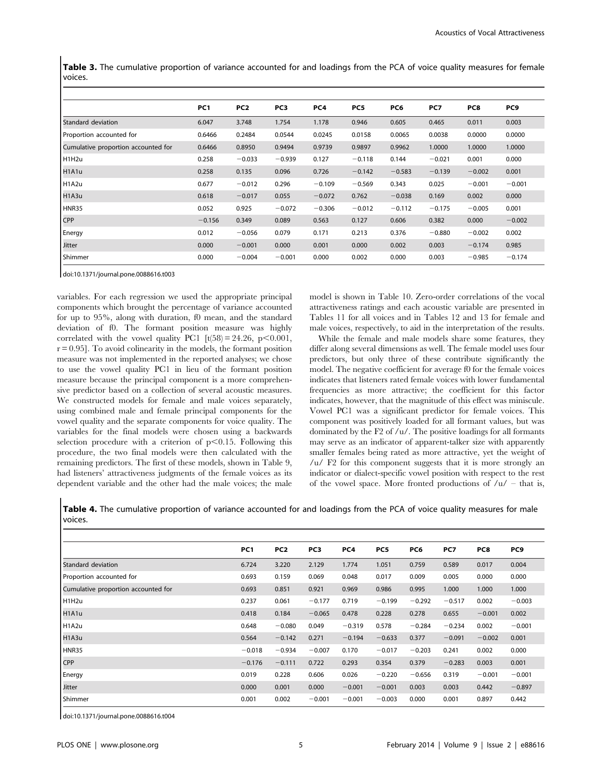Table 3. The cumulative proportion of variance accounted for and loadings from the PCA of voice quality measures for female voices.

|                                     | PC <sub>1</sub> | PC <sub>2</sub> | PC3      | PC4      | PC5      | PC6      | PC7      | PC8      | PC9      |
|-------------------------------------|-----------------|-----------------|----------|----------|----------|----------|----------|----------|----------|
| Standard deviation                  | 6.047           | 3.748           | 1.754    | 1.178    | 0.946    | 0.605    | 0.465    | 0.011    | 0.003    |
| Proportion accounted for            | 0.6466          | 0.2484          | 0.0544   | 0.0245   | 0.0158   | 0.0065   | 0.0038   | 0.0000   | 0.0000   |
| Cumulative proportion accounted for | 0.6466          | 0.8950          | 0.9494   | 0.9739   | 0.9897   | 0.9962   | 1.0000   | 1.0000   | 1.0000   |
| H <sub>1H2u</sub>                   | 0.258           | $-0.033$        | $-0.939$ | 0.127    | $-0.118$ | 0.144    | $-0.021$ | 0.001    | 0.000    |
| H <sub>1</sub> A <sub>1u</sub>      | 0.258           | 0.135           | 0.096    | 0.726    | $-0.142$ | $-0.583$ | $-0.139$ | $-0.002$ | 0.001    |
| H <sub>1</sub> A <sub>2u</sub>      | 0.677           | $-0.012$        | 0.296    | $-0.109$ | $-0.569$ | 0.343    | 0.025    | $-0.001$ | $-0.001$ |
| H <sub>1</sub> A <sub>3u</sub>      | 0.618           | $-0.017$        | 0.055    | $-0.072$ | 0.762    | $-0.038$ | 0.169    | 0.002    | 0.000    |
| HNR35                               | 0.052           | 0.925           | $-0.072$ | $-0.306$ | $-0.012$ | $-0.112$ | $-0.175$ | $-0.005$ | 0.001    |
| CPP                                 | $-0.156$        | 0.349           | 0.089    | 0.563    | 0.127    | 0.606    | 0.382    | 0.000    | $-0.002$ |
| Energy                              | 0.012           | $-0.056$        | 0.079    | 0.171    | 0.213    | 0.376    | $-0.880$ | $-0.002$ | 0.002    |
| <b>Jitter</b>                       | 0.000           | $-0.001$        | 0.000    | 0.001    | 0.000    | 0.002    | 0.003    | $-0.174$ | 0.985    |
| <b>Shimmer</b>                      | 0.000           | $-0.004$        | $-0.001$ | 0.000    | 0.002    | 0.000    | 0.003    | $-0.985$ | $-0.174$ |

doi:10.1371/journal.pone.0088616.t003

variables. For each regression we used the appropriate principal components which brought the percentage of variance accounted for up to 95%, along with duration, f0 mean, and the standard deviation of f0. The formant position measure was highly correlated with the vowel quality PC1  $[t(58) = 24.26, p < 0.001,$  $r = 0.95$ ]. To avoid colinearity in the models, the formant position measure was not implemented in the reported analyses; we chose to use the vowel quality PC1 in lieu of the formant position measure because the principal component is a more comprehensive predictor based on a collection of several acoustic measures. We constructed models for female and male voices separately, using combined male and female principal components for the vowel quality and the separate components for voice quality. The variables for the final models were chosen using a backwards selection procedure with a criterion of  $p<0.15$ . Following this procedure, the two final models were then calculated with the remaining predictors. The first of these models, shown in Table 9, had listeners' attractiveness judgments of the female voices as its dependent variable and the other had the male voices; the male

model is shown in Table 10. Zero-order correlations of the vocal attractiveness ratings and each acoustic variable are presented in Tables 11 for all voices and in Tables 12 and 13 for female and male voices, respectively, to aid in the interpretation of the results.

While the female and male models share some features, they differ along several dimensions as well. The female model uses four predictors, but only three of these contribute significantly the model. The negative coefficient for average f0 for the female voices indicates that listeners rated female voices with lower fundamental frequencies as more attractive; the coefficient for this factor indicates, however, that the magnitude of this effect was miniscule. Vowel PC1 was a significant predictor for female voices. This component was positively loaded for all formant values, but was dominated by the F2 of /u/. The positive loadings for all formants may serve as an indicator of apparent-talker size with apparently smaller females being rated as more attractive, yet the weight of /u/ F2 for this component suggests that it is more strongly an indicator or dialect-specific vowel position with respect to the rest of the vowel space. More fronted productions of  $/u - t$  that is,

Table 4. The cumulative proportion of variance accounted for and loadings from the PCA of voice quality measures for male voices.

|                                     | PC <sub>1</sub> | PC <sub>2</sub> | PC <sub>3</sub> | PC4      | PC <sub>5</sub> | PC6      | PC7      | PC8      | PC9      |
|-------------------------------------|-----------------|-----------------|-----------------|----------|-----------------|----------|----------|----------|----------|
| Standard deviation                  | 6.724           | 3.220           | 2.129           | 1.774    | 1.051           | 0.759    | 0.589    | 0.017    | 0.004    |
| Proportion accounted for            | 0.693           | 0.159           | 0.069           | 0.048    | 0.017           | 0.009    | 0.005    | 0.000    | 0.000    |
| Cumulative proportion accounted for | 0.693           | 0.851           | 0.921           | 0.969    | 0.986           | 0.995    | 1.000    | 1.000    | 1.000    |
| H <sub>1H2u</sub>                   | 0.237           | 0.061           | $-0.177$        | 0.719    | $-0.199$        | $-0.292$ | $-0.517$ | 0.002    | $-0.003$ |
| H <sub>1</sub> A <sub>1u</sub>      | 0.418           | 0.184           | $-0.065$        | 0.478    | 0.228           | 0.278    | 0.655    | $-0.001$ | 0.002    |
| H <sub>1</sub> A <sub>2u</sub>      | 0.648           | $-0.080$        | 0.049           | $-0.319$ | 0.578           | $-0.284$ | $-0.234$ | 0.002    | $-0.001$ |
| H <sub>1</sub> A <sub>3u</sub>      | 0.564           | $-0.142$        | 0.271           | $-0.194$ | $-0.633$        | 0.377    | $-0.091$ | $-0.002$ | 0.001    |
| HNR35                               | $-0.018$        | $-0.934$        | $-0.007$        | 0.170    | $-0.017$        | $-0.203$ | 0.241    | 0.002    | 0.000    |
| <b>CPP</b>                          | $-0.176$        | $-0.111$        | 0.722           | 0.293    | 0.354           | 0.379    | $-0.283$ | 0.003    | 0.001    |
| Energy                              | 0.019           | 0.228           | 0.606           | 0.026    | $-0.220$        | $-0.656$ | 0.319    | $-0.001$ | $-0.001$ |
| Jitter                              | 0.000           | 0.001           | 0.000           | $-0.001$ | $-0.001$        | 0.003    | 0.003    | 0.442    | $-0.897$ |
| Shimmer                             | 0.001           | 0.002           | $-0.001$        | $-0.001$ | $-0.003$        | 0.000    | 0.001    | 0.897    | 0.442    |

doi:10.1371/journal.pone.0088616.t004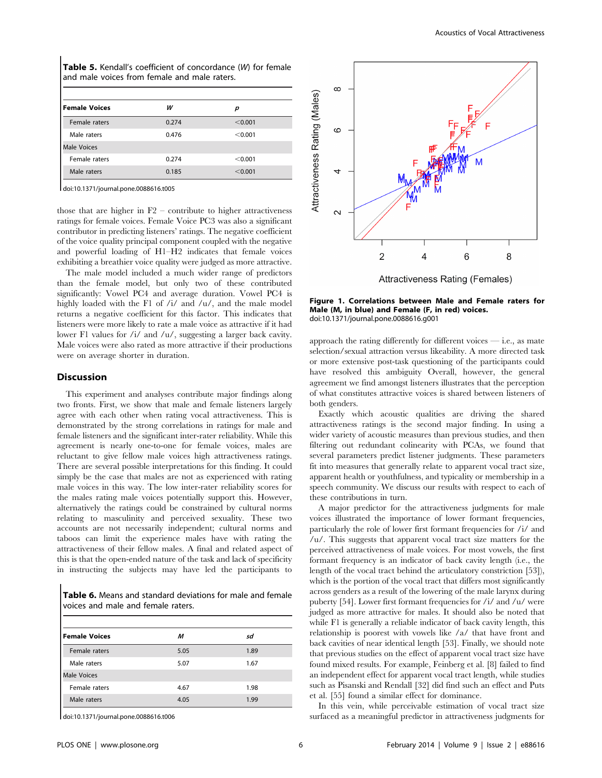| <b>Table 5.</b> Kendall's coefficient of concordance (W) for female<br>and male voices from female and male raters. |       |         |  |  |  |  |
|---------------------------------------------------------------------------------------------------------------------|-------|---------|--|--|--|--|
| <b>Female Voices</b>                                                                                                | w     | р       |  |  |  |  |
| Female raters                                                                                                       | 0.274 | < 0.001 |  |  |  |  |
| Male raters                                                                                                         | 0.476 | < 0.001 |  |  |  |  |
| Male Voices                                                                                                         |       |         |  |  |  |  |
| Female raters                                                                                                       | 0.274 | < 0.001 |  |  |  |  |
| Male raters                                                                                                         | 0.185 | < 0.001 |  |  |  |  |

doi:10.1371/journal.pone.0088616.t005

those that are higher in  $F2$  – contribute to higher attractiveness ratings for female voices. Female Voice PC3 was also a significant contributor in predicting listeners' ratings. The negative coefficient of the voice quality principal component coupled with the negative and powerful loading of H1–H2 indicates that female voices exhibiting a breathier voice quality were judged as more attractive.

The male model included a much wider range of predictors than the female model, but only two of these contributed significantly: Vowel PC4 and average duration. Vowel PC4 is highly loaded with the F1 of /i/ and /u/, and the male model returns a negative coefficient for this factor. This indicates that listeners were more likely to rate a male voice as attractive if it had lower F1 values for /i/ and /u/, suggesting a larger back cavity. Male voices were also rated as more attractive if their productions were on average shorter in duration.

#### **Discussion**

This experiment and analyses contribute major findings along two fronts. First, we show that male and female listeners largely agree with each other when rating vocal attractiveness. This is demonstrated by the strong correlations in ratings for male and female listeners and the significant inter-rater reliability. While this agreement is nearly one-to-one for female voices, males are reluctant to give fellow male voices high attractiveness ratings. There are several possible interpretations for this finding. It could simply be the case that males are not as experienced with rating male voices in this way. The low inter-rater reliability scores for the males rating male voices potentially support this. However, alternatively the ratings could be constrained by cultural norms relating to masculinity and perceived sexuality. These two accounts are not necessarily independent; cultural norms and taboos can limit the experience males have with rating the attractiveness of their fellow males. A final and related aspect of this is that the open-ended nature of the task and lack of specificity in instructing the subjects may have led the participants to

Table 6. Means and standard deviations for male and female voices and male and female raters.

| <b>Female Voices</b> | M    | sd   |
|----------------------|------|------|
| Female raters        | 5.05 | 1.89 |
| Male raters          | 5.07 | 1.67 |
| <b>Male Voices</b>   |      |      |
| Female raters        | 4.67 | 1.98 |
| Male raters          | 4.05 | 1.99 |

doi:10.1371/journal.pone.0088616.t006



Figure 1. Correlations between Male and Female raters for Male (M, in blue) and Female (F, in red) voices. doi:10.1371/journal.pone.0088616.g001

approach the rating differently for different voices  $-$  i.e., as mate selection/sexual attraction versus likeability. A more directed task or more extensive post-task questioning of the participants could have resolved this ambiguity Overall, however, the general agreement we find amongst listeners illustrates that the perception of what constitutes attractive voices is shared between listeners of both genders.

Exactly which acoustic qualities are driving the shared attractiveness ratings is the second major finding. In using a wider variety of acoustic measures than previous studies, and then filtering out redundant colinearity with PCAs, we found that several parameters predict listener judgments. These parameters fit into measures that generally relate to apparent vocal tract size, apparent health or youthfulness, and typicality or membership in a speech community. We discuss our results with respect to each of these contributions in turn.

A major predictor for the attractiveness judgments for male voices illustrated the importance of lower formant frequencies, particularly the role of lower first formant frequencies for /i/ and /u/. This suggests that apparent vocal tract size matters for the perceived attractiveness of male voices. For most vowels, the first formant frequency is an indicator of back cavity length (i.e., the length of the vocal tract behind the articulatory constriction [53]), which is the portion of the vocal tract that differs most significantly across genders as a result of the lowering of the male larynx during puberty [54]. Lower first formant frequencies for /i/ and /u/ were judged as more attractive for males. It should also be noted that while F1 is generally a reliable indicator of back cavity length, this relationship is poorest with vowels like /a/ that have front and back cavities of near identical length [53]. Finally, we should note that previous studies on the effect of apparent vocal tract size have found mixed results. For example, Feinberg et al. [8] failed to find an independent effect for apparent vocal tract length, while studies such as Pisanski and Rendall [32] did find such an effect and Puts et al. [55] found a similar effect for dominance.

In this vein, while perceivable estimation of vocal tract size surfaced as a meaningful predictor in attractiveness judgments for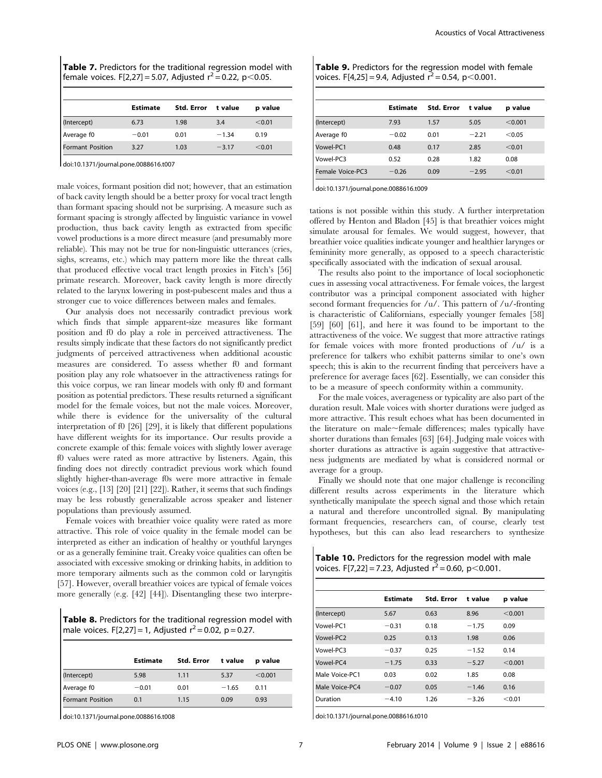|                         | <b>Estimate</b> | Std. Error | t value | p value |
|-------------------------|-----------------|------------|---------|---------|
| (Intercept)             | 6.73            | 1.98       | 3.4     | < 0.01  |
| Average f0              | $-0.01$         | 0.01       | $-1.34$ | 0.19    |
| <b>Formant Position</b> | 3.27            | 1.03       | $-3.17$ | < 0.01  |

doi:10.1371/journal.pone.0088616.t007

male voices, formant position did not; however, that an estimation of back cavity length should be a better proxy for vocal tract length than formant spacing should not be surprising. A measure such as formant spacing is strongly affected by linguistic variance in vowel production, thus back cavity length as extracted from specific vowel productions is a more direct measure (and presumably more reliable). This may not be true for non-linguistic utterances (cries, sighs, screams, etc.) which may pattern more like the threat calls that produced effective vocal tract length proxies in Fitch's [56] primate research. Moreover, back cavity length is more directly related to the larynx lowering in post-pubescent males and thus a stronger cue to voice differences between males and females.

Our analysis does not necessarily contradict previous work which finds that simple apparent-size measures like formant position and f0 do play a role in perceived attractiveness. The results simply indicate that these factors do not significantly predict judgments of perceived attractiveness when additional acoustic measures are considered. To assess whether f0 and formant position play any role whatsoever in the attractiveness ratings for this voice corpus, we ran linear models with only f0 and formant position as potential predictors. These results returned a significant model for the female voices, but not the male voices. Moreover, while there is evidence for the universality of the cultural interpretation of f0 [26] [29], it is likely that different populations have different weights for its importance. Our results provide a concrete example of this: female voices with slightly lower average f0 values were rated as more attractive by listeners. Again, this finding does not directly contradict previous work which found slightly higher-than-average f0s were more attractive in female voices (e.g., [13] [20] [21] [22]). Rather, it seems that such findings may be less robustly generalizable across speaker and listener populations than previously assumed.

Female voices with breathier voice quality were rated as more attractive. This role of voice quality in the female model can be interpreted as either an indication of healthy or youthful larynges or as a generally feminine trait. Creaky voice qualities can often be associated with excessive smoking or drinking habits, in addition to more temporary ailments such as the common cold or laryngitis [57]. However, overall breathier voices are typical of female voices more generally (e.g. [42] [44]). Disentangling these two interpre-

Table 8. Predictors for the traditional regression model with male voices. F[2,27] = 1, Adjusted  $r^2$  = 0.02, p = 0.27.

|                         | <b>Estimate</b> | Std. Error | t value | p value |
|-------------------------|-----------------|------------|---------|---------|
| (Intercept)             | 5.98            | 1.11       | 5.37    | < 0.001 |
| Average f0              | $-0.01$         | 0.01       | $-1.65$ | 0.11    |
| <b>Formant Position</b> | 0.1             | 1.15       | 0.09    | 0.93    |

doi:10.1371/journal.pone.0088616.t008

| Table 9. Predictors for the regression model with female |  |  |  |
|----------------------------------------------------------|--|--|--|
| voices. F[4,25] = 9.4, Adjusted $r^2$ = 0.54, p < 0.001. |  |  |  |

|                  | <b>Estimate</b> | <b>Std. Error</b> | t value | p value |
|------------------|-----------------|-------------------|---------|---------|
| (Intercept)      | 7.93            | 1.57              | 5.05    | < 0.001 |
| Average f0       | $-0.02$         | 0.01              | $-2.21$ | < 0.05  |
| Vowel-PC1        | 0.48            | 0.17              | 2.85    | < 0.01  |
| Vowel-PC3        | 0.52            | 0.28              | 1.82    | 0.08    |
| Female Voice-PC3 | $-0.26$         | 0.09              | $-2.95$ | < 0.01  |

doi:10.1371/journal.pone.0088616.t009

tations is not possible within this study. A further interpretation offered by Henton and Bladon [45] is that breathier voices might simulate arousal for females. We would suggest, however, that breathier voice qualities indicate younger and healthier larynges or femininity more generally, as opposed to a speech characteristic specifically associated with the indication of sexual arousal.

The results also point to the importance of local sociophonetic cues in assessing vocal attractiveness. For female voices, the largest contributor was a principal component associated with higher second formant frequencies for /u/. This pattern of /u/-fronting is characteristic of Californians, especially younger females [58] [59] [60] [61], and here it was found to be important to the attractiveness of the voice. We suggest that more attractive ratings for female voices with more fronted productions of /u/ is a preference for talkers who exhibit patterns similar to one's own speech; this is akin to the recurrent finding that perceivers have a preference for average faces [62]. Essentially, we can consider this to be a measure of speech conformity within a community.

For the male voices, averageness or typicality are also part of the duration result. Male voices with shorter durations were judged as more attractive. This result echoes what has been documented in the literature on male $\sim$ female differences; males typically have shorter durations than females [63] [64]. Judging male voices with shorter durations as attractive is again suggestive that attractiveness judgments are mediated by what is considered normal or average for a group.

Finally we should note that one major challenge is reconciling different results across experiments in the literature which synthetically manipulate the speech signal and those which retain a natural and therefore uncontrolled signal. By manipulating formant frequencies, researchers can, of course, clearly test hypotheses, but this can also lead researchers to synthesize

Table 10. Predictors for the regression model with male voices. F[7,22] = 7.23, Adjusted  $r^2$  = 0.60, p < 0.001.

|                | <b>Estimate</b> | <b>Std. Error</b> | t value | p value |
|----------------|-----------------|-------------------|---------|---------|
| (Intercept)    | 5.67            | 0.63              | 8.96    | < 0.001 |
| Vowel-PC1      | $-0.31$         | 0.18              | $-1.75$ | 0.09    |
| Vowel-PC2      | 0.25            | 0.13              | 1.98    | 0.06    |
| Vowel-PC3      | $-0.37$         | 0.25              | $-1.52$ | 0.14    |
| Vowel-PC4      | $-1.75$         | 0.33              | $-5.27$ | < 0.001 |
| Male Voice-PC1 | 0.03            | 0.02              | 1.85    | 0.08    |
| Male Voice-PC4 | $-0.07$         | 0.05              | $-1.46$ | 0.16    |
| Duration       | $-4.10$         | 1.26              | $-3.26$ | < 0.01  |

doi:10.1371/journal.pone.0088616.t010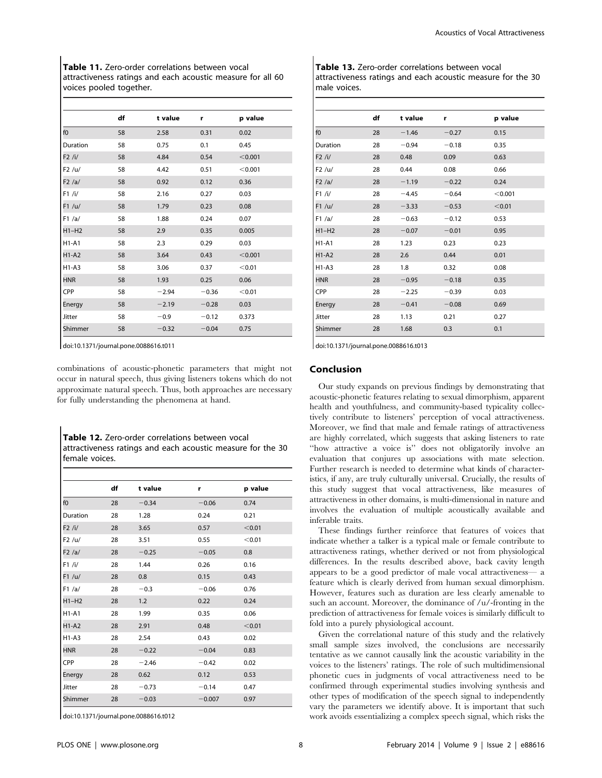Table 11. Zero-order correlations between vocal attractiveness ratings and each acoustic measure for all 60 voices pooled together.

|                | df | t value | r       | p value |
|----------------|----|---------|---------|---------|
| f <sub>0</sub> | 58 | 2.58    | 0.31    | 0.02    |
| Duration       | 58 | 0.75    | 0.1     | 0.45    |
| F2 / i/        | 58 | 4.84    | 0.54    | < 0.001 |
| F2 / u/        | 58 | 4.42    | 0.51    | < 0.001 |
| F2/a/          | 58 | 0.92    | 0.12    | 0.36    |
| F1 / i/        | 58 | 2.16    | 0.27    | 0.03    |
| F1 / u/        | 58 | 1.79    | 0.23    | 0.08    |
| F1/a/          | 58 | 1.88    | 0.24    | 0.07    |
| $H1-H2$        | 58 | 2.9     | 0.35    | 0.005   |
| $H1-A1$        | 58 | 2.3     | 0.29    | 0.03    |
| $H1-A2$        | 58 | 3.64    | 0.43    | < 0.001 |
| $H1-A3$        | 58 | 3.06    | 0.37    | < 0.01  |
| <b>HNR</b>     | 58 | 1.93    | 0.25    | 0.06    |
| CPP            | 58 | $-2.94$ | $-0.36$ | < 0.01  |
| Energy         | 58 | $-2.19$ | $-0.28$ | 0.03    |
| Jitter         | 58 | $-0.9$  | $-0.12$ | 0.373   |
| Shimmer        | 58 | $-0.32$ | $-0.04$ | 0.75    |

doi:10.1371/journal.pone.0088616.t011

combinations of acoustic-phonetic parameters that might not occur in natural speech, thus giving listeners tokens which do not approximate natural speech. Thus, both approaches are necessary for fully understanding the phenomena at hand.

Table 12. Zero-order correlations between vocal attractiveness ratings and each acoustic measure for the 30 female voices.

|                | df | t value | r        | p value |
|----------------|----|---------|----------|---------|
| f <sub>0</sub> | 28 | $-0.34$ | $-0.06$  | 0.74    |
| Duration       | 28 | 1.28    | 0.24     | 0.21    |
| F2 /i/         | 28 | 3.65    | 0.57     | < 0.01  |
| F2 / u/        | 28 | 3.51    | 0.55     | < 0.01  |
| F2 /a/         | 28 | $-0.25$ | $-0.05$  | 0.8     |
| F1 / i/        | 28 | 1.44    | 0.26     | 0.16    |
| F1 / u/        | 28 | 0.8     | 0.15     | 0.43    |
| F1/a/          | 28 | $-0.3$  | $-0.06$  | 0.76    |
| $H1-H2$        | 28 | 1.2     | 0.22     | 0.24    |
| $H1-A1$        | 28 | 1.99    | 0.35     | 0.06    |
| $H1-A2$        | 28 | 2.91    | 0.48     | < 0.01  |
| $H1-A3$        | 28 | 2.54    | 0.43     | 0.02    |
| <b>HNR</b>     | 28 | $-0.22$ | $-0.04$  | 0.83    |
| <b>CPP</b>     | 28 | $-2.46$ | $-0.42$  | 0.02    |
| Energy         | 28 | 0.62    | 0.12     | 0.53    |
| Jitter         | 28 | $-0.73$ | $-0.14$  | 0.47    |
| Shimmer        | 28 | $-0.03$ | $-0.007$ | 0.97    |

doi:10.1371/journal.pone.0088616.t012

| <b>Table 13.</b> Zero-order correlations between vocal      |
|-------------------------------------------------------------|
| attractiveness ratings and each acoustic measure for the 30 |
| male voices.                                                |

|               | df | t value | r       | p value |
|---------------|----|---------|---------|---------|
| f0            | 28 | $-1.46$ | $-0.27$ | 0.15    |
| Duration      | 28 | $-0.94$ | $-0.18$ | 0.35    |
| F2 / i/       | 28 | 0.48    | 0.09    | 0.63    |
| F2 / u/       | 28 | 0.44    | 0.08    | 0.66    |
| F2/a/         | 28 | $-1.19$ | $-0.22$ | 0.24    |
| F1 / i/       | 28 | $-4.45$ | $-0.64$ | < 0.001 |
| F1 / u/       | 28 | $-3.33$ | $-0.53$ | < 0.01  |
| F1/a/         | 28 | $-0.63$ | $-0.12$ | 0.53    |
| $H1-H2$       | 28 | $-0.07$ | $-0.01$ | 0.95    |
| $H1-A1$       | 28 | 1.23    | 0.23    | 0.23    |
| $H1-A2$       | 28 | 2.6     | 0.44    | 0.01    |
| $H1-A3$       | 28 | 1.8     | 0.32    | 0.08    |
| <b>HNR</b>    | 28 | $-0.95$ | $-0.18$ | 0.35    |
| <b>CPP</b>    | 28 | $-2.25$ | $-0.39$ | 0.03    |
| Energy        | 28 | $-0.41$ | $-0.08$ | 0.69    |
| <b>Jitter</b> | 28 | 1.13    | 0.21    | 0.27    |
| Shimmer       | 28 | 1.68    | 0.3     | 0.1     |

doi:10.1371/journal.pone.0088616.t013

## Conclusion

Our study expands on previous findings by demonstrating that acoustic-phonetic features relating to sexual dimorphism, apparent health and youthfulness, and community-based typicality collectively contribute to listeners' perception of vocal attractiveness. Moreover, we find that male and female ratings of attractiveness are highly correlated, which suggests that asking listeners to rate ''how attractive a voice is'' does not obligatorily involve an evaluation that conjures up associations with mate selection. Further research is needed to determine what kinds of characteristics, if any, are truly culturally universal. Crucially, the results of this study suggest that vocal attractiveness, like measures of attractiveness in other domains, is multi-dimensional in nature and involves the evaluation of multiple acoustically available and inferable traits.

These findings further reinforce that features of voices that indicate whether a talker is a typical male or female contribute to attractiveness ratings, whether derived or not from physiological differences. In the results described above, back cavity length appears to be a good predictor of male vocal attractiveness— a feature which is clearly derived from human sexual dimorphism. However, features such as duration are less clearly amenable to such an account. Moreover, the dominance of /u/-fronting in the prediction of attractiveness for female voices is similarly difficult to fold into a purely physiological account.

Given the correlational nature of this study and the relatively small sample sizes involved, the conclusions are necessarily tentative as we cannot causally link the acoustic variability in the voices to the listeners' ratings. The role of such multidimensional phonetic cues in judgments of vocal attractiveness need to be confirmed through experimental studies involving synthesis and other types of modification of the speech signal to independently vary the parameters we identify above. It is important that such work avoids essentializing a complex speech signal, which risks the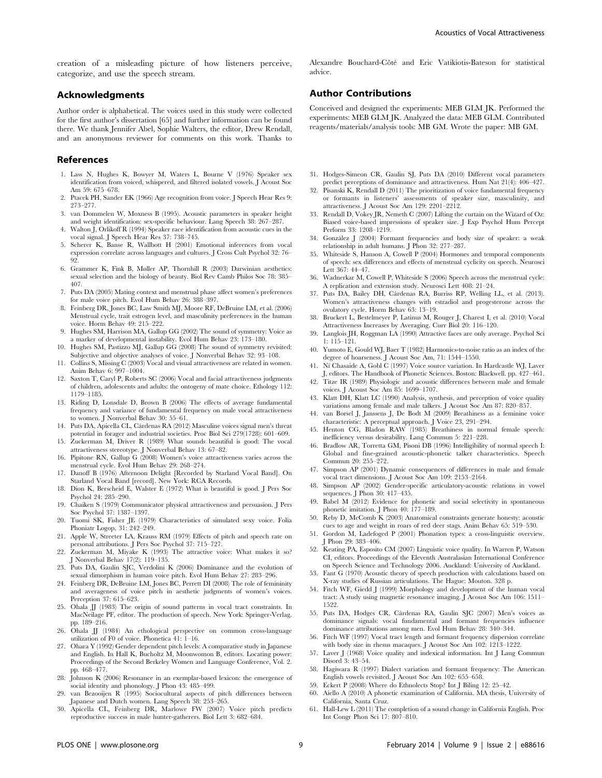creation of a misleading picture of how listeners perceive, categorize, and use the speech stream.

## Acknowledgments

Author order is alphabetical. The voices used in this study were collected for the first author's dissertation [65] and further information can be found there. We thank Jennifer Abel, Sophie Walters, the editor, Drew Rendall, and an anonymous reviewer for comments on this work. Thanks to

#### References

- 1. Lass N, Hughes K, Bowyer M, Waters L, Bourne V (1976) Speaker sex identification from voiced, whispered, and filtered isolated vowels. J Acoust Soc Am 59: 675–678.
- 2. Ptacek PH, Sander EK (1966) Age recognition from voice. J Speech Hear Res 9: 273–277.
- 3. van Dommelen W, Moxness B (1995). Acoustic parameters in speaker height and weight identification: sex-specific behaviour. Lang Speech 38: 267–287.
- 4. Walton J, Orlikoff R (1994) Speaker race identification from acoustic cues in the vocal signal. J Speech Hear Res 37: 738–745.
- 5. Scherer K, Banse R, Wallbott H (2001) Emotional inferences from vocal expression correlate across languages and cultures. J Cross Cult Psychol 32: 76– 92.
- 6. Grammer K, Fink B, Møller AP, Thornhill R (2003) Darwinian aesthetics: sexual selection and the biology of beauty. Biol Rev Camb Philos Soc 78: 385– 407.
- 7. Puts DA (2005) Mating context and menstrual phase affect women's preferences for male voice pitch. Evol Hum Behav 26: 388–397.
- 8. Feinberg DR, Jones BC, Law Smith MJ, Moore RF, DeBruine LM, et al. (2006) Menstrual cycle, trait estrogen level, and masculinity preferences in the human voice. Horm Behav 49: 215–222.
- 9. Hughes SM, Harrison MA, Gallup GG (2002) The sound of symmetry: Voice as a marker of developmental instability. Evol Hum Behav 23: 173–180.
- 10. Hughes SM, Pastizzo MJ, Gallup GG (2008) The sound of symmetry revisited: Subjective and objective analyses of voice. J Nonverbal Behav 32: 93–108.
- 11. Collins S, Missing C (2003) Vocal and visual attractiveness are related in women. Anim Behav 6: 997–1004.
- 12. Saxton T, Caryl P, Roberts SC (2006) Vocal and facial attractiveness judgments of children, adolescents and adults: the ontogeny of mate choice. Ethology 112: 1179–1185.
- 13. Riding D, Lonsdale D, Brown B (2006) The effects of average fundamental frequency and variance of fundamental frequency on male vocal attractiveness to women. J Nonverbal Behav 30: 55–61.
- 14. Puts DA, Apicella CL, Cárdenas RA (2012) Masculine voices signal men's threat potential in forager and industrial societies. Proc Biol Sci 279(1728): 601–609.
- 15. Zuckerman M, Driver R (1989) What sounds beautiful is good: The vocal
- attractiveness stereotype. J Nonverbal Behav 13: 67–82. 16. Pipitone RN, Gallup G (2008) Women's voice attractiveness varies across the menstrual cycle. Evol Hum Behav 29: 268–274.
- 17. Danoff B (1976) Afternoon Delight [Recorded by Starland Vocal Band]. On Starland Vocal Band [record]. New York: RCA Records.
- 18. Dion K, Berscheid E, Walster E (1972) What is beautiful is good. J Pers Soc Psychol 24: 285–290.
- 19. Chaiken S (1979) Communicator physical attractiveness and persuasion. J Pers Soc Psychol 37: 1387–1397.
- 20. Tuomi SK, Fisher JE (1979) Characteristics of simulated sexy voice. Folia Phoniatr Logop, 31: 242–249.
- 21. Apple W, Streeter LA, Krauss RM (1979) Effects of pitch and speech rate on personal attributions. J Pers Soc Psychol 37: 715–727.
- 22. Zuckerman M, Miyake K (1993) The attractive voice: What makes it so? J Nonverbal Behav 17(2): 119–135.
- 23. Puts DA, Gaulin SJC, Verdolini K (2006) Dominance and the evolution of sexual dimorphism in human voice pitch. Evol Hum Behav 27: 283–296.
- 24. Feinberg DR, DeBruine LM, Jones BC, Perrett DI (2008) The role of femininity and averageness of voice pitch in aesthetic judgments of women's voices. Perception 37: 615–623.
- 25. Ohala JJ (1983) The origin of sound patterns in vocal tract constraints. In MacNeilage PF, editor. The production of speech. New York: Springer-Verlag. pp. 189–216.
- 26. Ohala JJ (1984) An ethological perspective on common cross-language utilization of F0 of voice. Phonetica 41: 1–16.
- 27. Ohara Y (1992) Gender dependent pitch levels: A comparative study in Japanese and English. In Hall K, Bucholtz M, Moonwomon B, editors. Locating power: Proceedings of the Second Berkeley Women and Language Conference, Vol. 2. pp. 468–477.
- 28. Johnson K (2006) Resonance in an exemplar-based lexicon: the emergence of social identity and phonology. J Phon 43: 485–499.
- 29. van Bezooijen R (1995) Sociocultural aspects of pitch differences between Japanese and Dutch women. Lang Speech 38: 253–265.
- 30. Apicella CL, Feinberg DR, Marlowe FW (2007) Voice pitch predicts reproductive success in male hunter-gatherers. Biol Lett 3: 682–684.

Alexandre Bouchard-Côté and Eric Vatikiotis-Bateson for statistical advice.

## Author Contributions

Conceived and designed the experiments: MEB GLM JK. Performed the experiments: MEB GLM JK. Analyzed the data: MEB GLM. Contributed reagents/materials/analysis tools: MB GM. Wrote the paper: MB GM.

- 31. Hodges-Simeon CR, Gaulin SJ, Puts DA (2010) Different vocal parameters predict perceptions of dominance and attractiveness. Hum Nat 21(4): 406–427.
- 32. Pisanski K, Rendall D (2011) The prioritization of voice fundamental frequency or formants in listeners' assessments of speaker size, masculinity, and attractiveness. J Acoust Soc Am 129: 2201–2212.
- 33. Rendall D, Vokey JR, Nemeth C (2007) Lifting the curtain on the Wizard of Oz: Biased voice-based impressions of speaker size. J Exp Psychol Hum Percept Perform 33: 1208–1219.
- 34. González J (2004) Formant frequencies and body size of speaker: a weak relationship in adult humans. J Phon 32: 277–287.
- 35. Whiteside S, Hanson A, Cowell P (2004) Hormones and temporal components of speech: sex differences and effects of menstrual cyclicity on speech. Neurosci Lett 367: 44–47.
- 36. Wadnerkar M, Cowell P, Whiteside S (2006) Speech across the menstrual cycle: A replication and extension study. Neurosci Lett 408: 21–24.
- 37. Puts DA, Bailey DH, Cárdenas RA, Burriss RP, Welling LL, et al. (2013). Women's attractiveness changes with estradiol and progesterone across the ovulatory cycle. Horm Behav 63: 13–19.
- 38. Bruckert L, Bestelmeyer P, Latinus M, Rouger J, Charest I, et al. (2010) Vocal Attractiveness Increases by Averaging. Curr Biol 20: 116–120.
- 39. Langlois JH, Roggman LA (1990) Attractive faces are only average. Psychol Sci 1: 115–121.
- Yumoto E, Gould WJ, Baer T (1982) Harmonics-to-noise ratio as an index of the degree of hoarseness. J Acoust Soc Am, 71: 1544–1550.
- 41. Nı´ Chasaide A, Gobl C (1997) Voice source variation. In Hardcastle WJ, Laver J, editors. The Handbook of Phonetic Sciences. Boston: Blackwell. pp. 427–461.
- 42. Titze IR (1989) Physiologic and acoustic differences between male and female voices. J Acoust Soc Am 85: 1699–1707.
- 43. Klatt DH, Klatt LC (1990) Analysis, synthesis, and perception of voice quality variations among female and male talkers. J Acoust Soc Am 87: 820–857.
- 44. van Borsel J, Janssens J, De Bodt M (2009) Breathiness as a feminine voice characteristic: A perceptual approach. J Voice 23, 291–294.
- 45. Henton CG, Bladon RAW (1985) Breathiness in normal female speech: inefficiency versus desirability. Lang Commun 5: 221–228.
- 46. Bradlow AR, Torretta GM, Pisoni DB (1996) Intelligibility of normal speech I: Global and fine-grained acoustic-phonetic talker characteristics. Speech Commun 20: 255–272.
- 47. Simpson AP (2001) Dynamic consequences of differences in male and female vocal tract dimensions. J Acoust Soc Am 109: 2153–2164.
- 48. Simpson AP (2002) Gender-specific articulatory-acoustic relations in vowel sequences. J Phon 30: 417–435.
- 49. Babel M (2012) Evidence for phonetic and social selectivity in spontaneous phonetic imitation. J Phon 40: 177–189.
- 50. Reby D, McComb K (2003) Anatomical constraints generate honesty: acoustic cues to age and weight in roars of red deer stags. Anim Behav 65: 519–530.
- 51. Gordon M, Ladefoged P (2001) Phonation types: a cross-linguistic overview. J Phon 29: 383–406.
- 52. Keating PA, Esposito CM (2007) Linguistic voice quality. In Warren P, Watson CI, editors. Proceedings of the Eleventh Australasian International Conference on Speech Science and Technology 2006. Auckland: University of Auckland.
- 53. Fant G (1970) Acoustic theory of speech production with calculations based on X-ray studies of Russian articulations. The Hague: Mouton. 328 p.
- 54. Fitch WF, Giedd J (1999) Morphology and development of the human vocal tract: A study using magnetic resonance imaging. J Acoust Soc Am 106: 1511– 1522.
- 55. Puts DA, Hodges CR, Cárdenas RA, Gaulin SJC (2007) Men's voices as dominance signals: vocal fundamental and formant frequencies influence dominance attributions among men. Evol Hum Behav 28: 340–344.
- 56. Fitch WF (1997) Vocal tract length and formant frequency dispersion correlate with body size in rhesus macaques. J Acoust Soc Am 102: 1213–1222.
- 57. Laver J (1968) Voice quality and indexical information. Int J Lang Commun Disord 3: 43–54.
- 58. Hagiwara R (1997) Dialect variation and formant frequency: The American English vowels revisited. J Acoust Soc Am 102: 655–658.
- 59. Eckert P (2008) Where do Ethnolects Stop? Int J Biling 12: 25–42.
- 60. Aiello A (2010) A phonetic examination of California. MA thesis, University of California, Santa Cruz.
- 61. Hall-Lew L (2011) The completion of a sound change in California English. Proc Int Congr Phon Sci 17: 807–810.